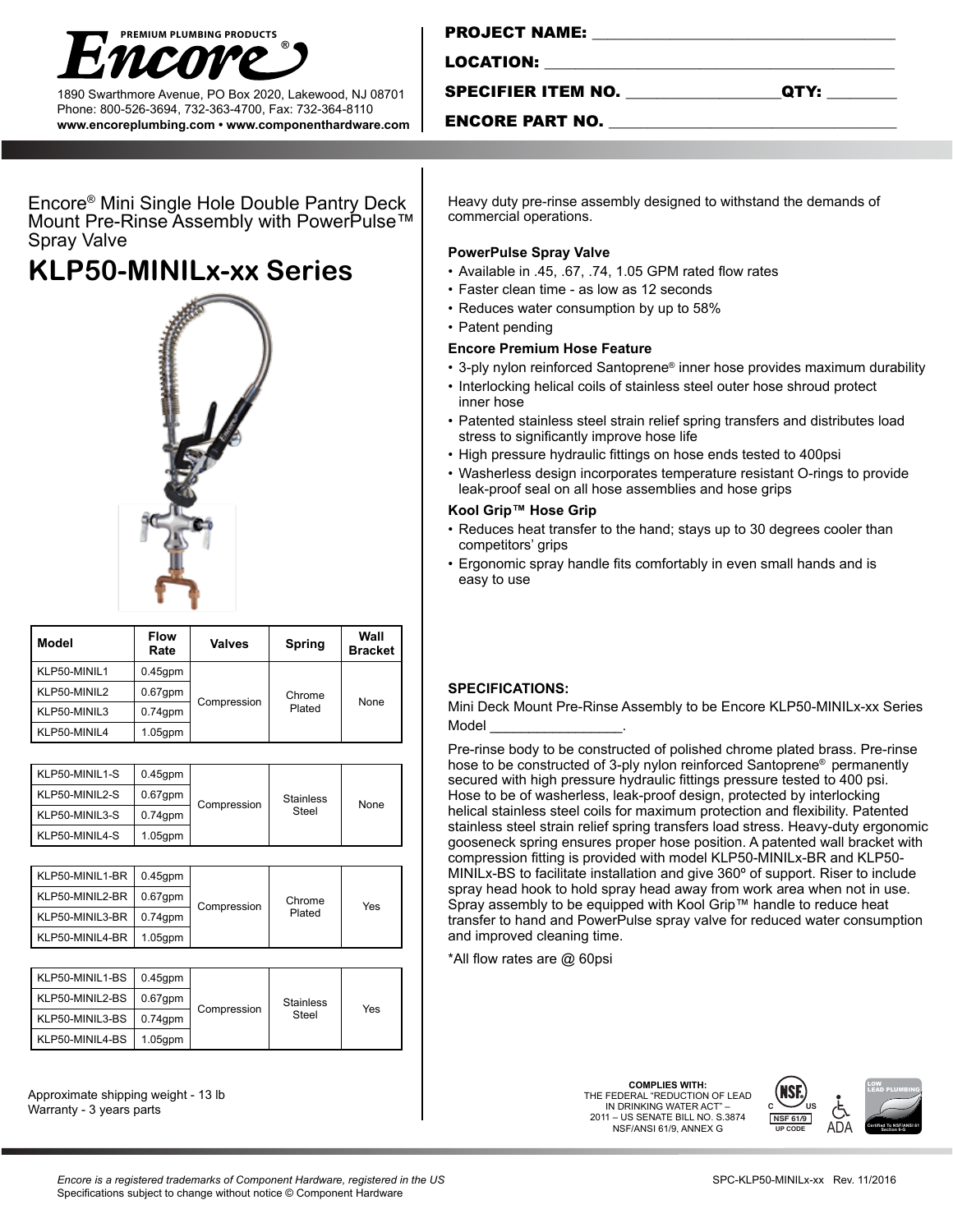

1890 Swarthmore Avenue, PO Box 2020, Lakewood, NJ 08701 Phone: 800-526-3694, 732-363-4700, Fax: 732-364-8110 **www.encoreplumbing.com • www.componenthardware.com**

| <b>PROJECT NAME:</b> |  |  |
|----------------------|--|--|
|                      |  |  |
| LOCATION:            |  |  |
|                      |  |  |

SPECIFIER ITEM NO. \_\_\_\_\_\_\_\_\_\_\_\_\_\_\_\_\_\_\_\_QTY: \_\_\_\_\_\_\_\_\_

### ENCORE PART NO.

Encore® Mini Single Hole Double Pantry Deck Mount Pre-Rinse Assembly with PowerPulse™ Spray Valve

# **KLP50-MINILx-xx Series**



| Model        | <b>Flow</b><br>Rate | <b>Valves</b> | Spring | Wall<br><b>Bracket</b> |
|--------------|---------------------|---------------|--------|------------------------|
| KLP50-MINIL1 | $0.45$ gpm          |               |        |                        |
| KLP50-MINIL2 | $0.67$ gpm          | Compression   | Chrome | None                   |
| KLP50-MINIL3 | $0.74$ gpm          |               | Plated |                        |
| KLP50-MINIL4 | $1.05$ gpm          |               |        |                        |

| KLP50-MINIL1-S | $0.45$ gpm | Compression | <b>Stainless</b><br>Steel | None |
|----------------|------------|-------------|---------------------------|------|
| KLP50-MINIL2-S | $0.67$ gpm |             |                           |      |
| KLP50-MINIL3-S | $0.74$ gpm |             |                           |      |
| KLP50-MINIL4-S | $1.05$ gpm |             |                           |      |

| KLP50-MINIL1-BR | $0.45$ gpm | Compression | Chrome<br>Plated | Yes |
|-----------------|------------|-------------|------------------|-----|
| KLP50-MINIL2-BR | $0.67$ gpm |             |                  |     |
| KLP50-MINIL3-BR | $0.74$ gpm |             |                  |     |
| KLP50-MINIL4-BR | $1.05$ gpm |             |                  |     |

| KLP50-MINIL1-BS | $0.45$ gpm | Compression | <b>Stainless</b><br>Steel | Yes |
|-----------------|------------|-------------|---------------------------|-----|
| KLP50-MINIL2-BS | $0.67$ gpm |             |                           |     |
| KLP50-MINIL3-BS | $0.74$ gpm |             |                           |     |
| KLP50-MINIL4-BS | $1.05$ gpm |             |                           |     |

Approximate shipping weight - 13 lb Warranty - 3 years parts

Heavy duty pre-rinse assembly designed to withstand the demands of commercial operations.

#### **PowerPulse Spray Valve**

- Available in .45, .67, .74, 1.05 GPM rated flow rates
- Faster clean time as low as 12 seconds
- Reduces water consumption by up to 58%
- Patent pending

#### **Encore Premium Hose Feature**

- 3-ply nylon reinforced Santoprene® inner hose provides maximum durability
- Interlocking helical coils of stainless steel outer hose shroud protect inner hose
- Patented stainless steel strain relief spring transfers and distributes load stress to significantly improve hose life
- High pressure hydraulic fittings on hose ends tested to 400psi
- Washerless design incorporates temperature resistant O-rings to provide leak-proof seal on all hose assemblies and hose grips

#### **Kool Grip™ Hose Grip**

- Reduces heat transfer to the hand; stays up to 30 degrees cooler than competitors' grips
- Ergonomic spray handle fits comfortably in even small hands and is easy to use

## **SPECIFICATIONS:**

Mini Deck Mount Pre-Rinse Assembly to be Encore KLP50-MINILx-xx Series Model

Pre-rinse body to be constructed of polished chrome plated brass. Pre-rinse hose to be constructed of 3-ply nylon reinforced Santoprene® permanently secured with high pressure hydraulic fittings pressure tested to 400 psi. Hose to be of washerless, leak-proof design, protected by interlocking helical stainless steel coils for maximum protection and flexibility. Patented stainless steel strain relief spring transfers load stress. Heavy-duty ergonomic gooseneck spring ensures proper hose position. A patented wall bracket with compression fitting is provided with model KLP50-MINILx-BR and KLP50- MINILx-BS to facilitate installation and give 360º of support. Riser to include spray head hook to hold spray head away from work area when not in use. Spray assembly to be equipped with Kool Grip™ handle to reduce heat transfer to hand and PowerPulse spray valve for reduced water consumption and improved cleaning time.

\*All flow rates are @ 60psi

**COMPLIES WITH:** THE FEDERAL "REDUCTION OF LEAD IN DRINKING WATER ACT" – 2011 – US SENATE BILL NO. S.3874 NSF/ANSI 61/9, ANNEX G